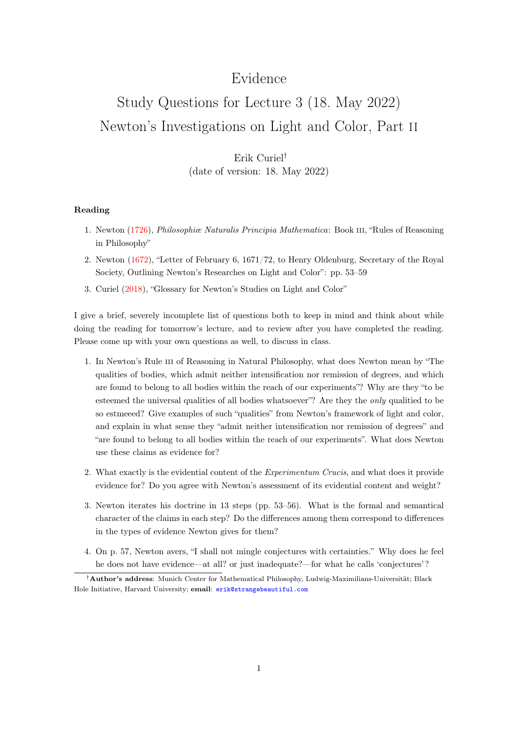## Evidence

# Study Questions for Lecture 3 (18. May 2022) Newton's Investigations on Light and Color, Part ii

### Erik Curiel† (date of version: 18. May 2022)

#### Reading

- 1. Newton [\(1726\)](#page-1-0), Philosophiæ Naturalis Principia Mathematica: Book iii, "Rules of Reasoning in Philosophy"
- 2. Newton [\(1672\)](#page-1-1), "Letter of February 6, 1671/72, to Henry Oldenburg, Secretary of the Royal Society, Outlining Newton's Researches on Light and Color": pp. 53–59
- 3. Curiel [\(2018\)](#page-1-2), "Glossary for Newton's Studies on Light and Color"

I give a brief, severely incomplete list of questions both to keep in mind and think about while doing the reading for tomorrow's lecture, and to review after you have completed the reading. Please come up with your own questions as well, to discuss in class.

- 1. In Newton's Rule iii of Reasoning in Natural Philosophy, what does Newton mean by "The qualities of bodies, which admit neither intensification nor remission of degrees, and which are found to belong to all bodies within the reach of our experiments"? Why are they "to be esteemed the universal qualities of all bodies whatsoever"? Are they the *only* qualitied to be so estmeeed? Give examples of such "qualities" from Newton's framework of light and color, and explain in what sense they "admit neither intensification nor remission of degrees" and "are found to belong to all bodies within the reach of our experiments". What does Newton use these claims as evidence for?
- 2. What exactly is the evidential content of the *Experimentum Crucis*, and what does it provide evidence for? Do you agree with Newton's assessment of its evidential content and weight?
- 3. Newton iterates his doctrine in 13 steps (pp. 53–56). What is the formal and semantical character of the claims in each step? Do the differences among them correspond to differences in the types of evidence Newton gives for them?
- 4. On p. 57, Newton avers, "I shall not mingle conjectures with certainties." Why does he feel he does not have evidence—at all? or just inadequate?—for what he calls 'conjectures'?

<sup>†</sup>Author's address: Munich Center for Mathematical Philosophy, Ludwig-Maximilians-Universität; Black Hole Initiative, Harvard University; email: [erik@strangebeautiful.com](mailto:erik@strangebeautiful.com)